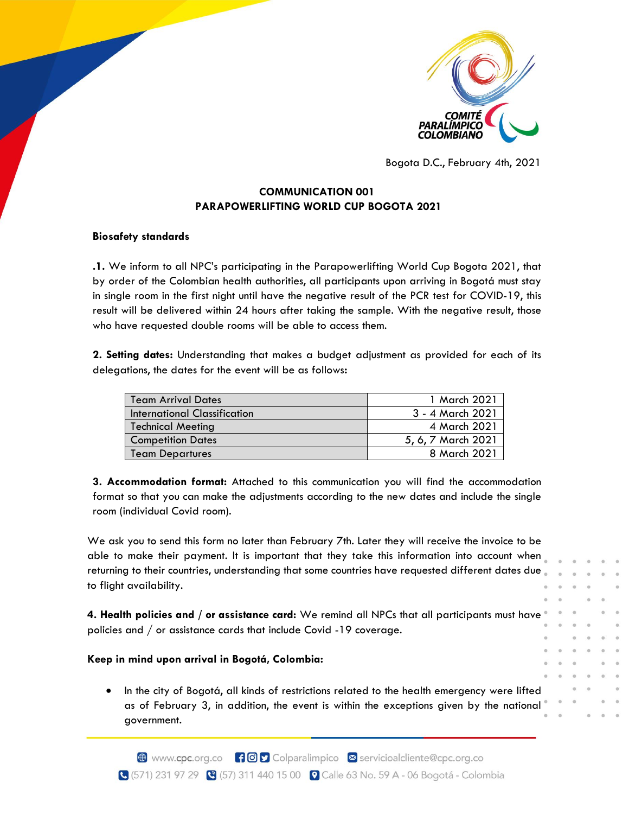

Bogota D.C., February 4th, 2021

# **COMMUNICATION 001 PARAPOWERLIFTING WORLD CUP BOGOTA 2021**

## **Biosafety standards**

**.1.** We inform to all NPC's participating in the Parapowerlifting World Cup Bogota 2021, that by order of the Colombian health authorities, all participants upon arriving in Bogotá must stay in single room in the first night until have the negative result of the PCR test for COVID-19, this result will be delivered within 24 hours after taking the sample. With the negative result, those who have requested double rooms will be able to access them.

**2. Setting dates:** Understanding that makes a budget adjustment as provided for each of its delegations, the dates for the event will be as follows**:**

| <b>Team Arrival Dates</b>    | 1 March 2021       |
|------------------------------|--------------------|
| International Classification | 3 - 4 March 2021   |
| Technical Meeting            | 4 March 2021       |
| <b>Competition Dates</b>     | 5, 6, 7 March 2021 |
| <b>Team Departures</b>       | 8 March 2021       |

**3. Accommodation format:** Attached to this communication you will find the accommodation format so that you can make the adjustments according to the new dates and include the single room (individual Covid room).

We ask you to send this form no later than February 7th. Later they will receive the invoice to be able to make their payment. It is important that they take this information into account when returning to their countries, understanding that some countries have requested different dates due. to flight availability.

**4. Health policies and / or assistance card:** We remind all NPCs that all participants must have policies and / or assistance cards that include Covid -19 coverage.

## **Keep in mind upon arrival in Bogotá, Colombia:**

• In the city of Bogotá, all kinds of restrictions related to the health emergency were lifted as of February 3, in addition, the event is within the exceptions given by the national government.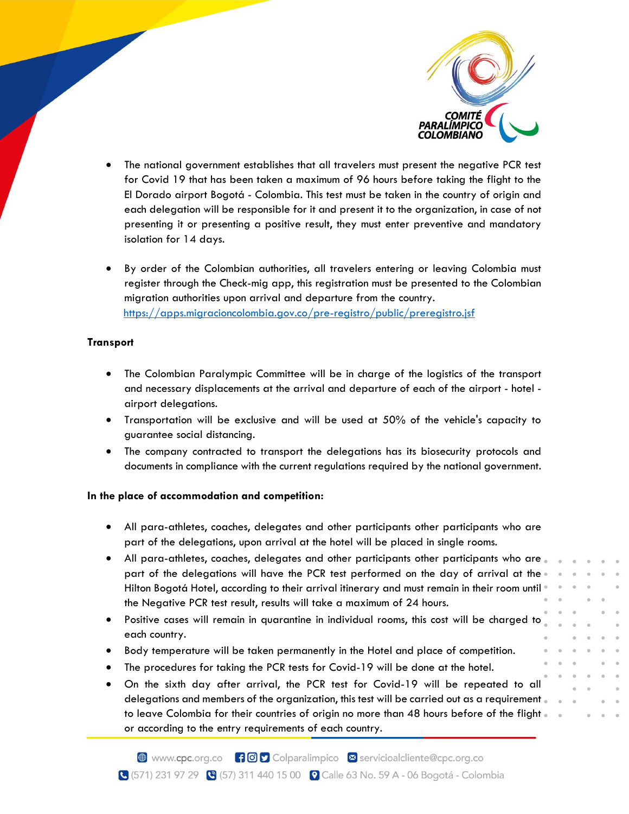

- The national government establishes that all travelers must present the negative PCR test for Covid 19 that has been taken a maximum of 96 hours before taking the flight to the El Dorado airport Bogotá - Colombia. This test must be taken in the country of origin and each delegation will be responsible for it and present it to the organization, in case of not presenting it or presenting a positive result, they must enter preventive and mandatory isolation for 14 days.
- By order of the Colombian authorities, all travelers entering or leaving Colombia must register through the Check-mig app, this registration must be presented to the Colombian migration authorities upon arrival and departure from the country. <https://apps.migracioncolombia.gov.co/pre-registro/public/preregistro.jsf>

## **Transport**

- The Colombian Paralympic Committee will be in charge of the logistics of the transport and necessary displacements at the arrival and departure of each of the airport - hotel airport delegations.
- Transportation will be exclusive and will be used at 50% of the vehicle's capacity to guarantee social distancing.
- The company contracted to transport the delegations has its biosecurity protocols and documents in compliance with the current regulations required by the national government.

## **In the place of accommodation and competition:**

- All para-athletes, coaches, delegates and other participants other participants who are part of the delegations, upon arrival at the hotel will be placed in single rooms.
- All para-athletes, coaches, delegates and other participants other participants who are. part of the delegations will have the PCR test performed on the day of arrival at the Hilton Bogotá Hotel, according to their arrival itinerary and must remain in their room until the Negative PCR test result, results will take a maximum of 24 hours.
- Positive cases will remain in quarantine in individual rooms, this cost will be charged to each country.
- Body temperature will be taken permanently in the Hotel and place of competition.
- The procedures for taking the PCR tests for Covid-19 will be done at the hotel.
- On the sixth day after arrival, the PCR test for Covid-19 will be repeated to all delegations and members of the organization, this test will be carried out as a requirement to leave Colombia for their countries of origin no more than 48 hours before of the flight. or according to the entry requirements of each country.